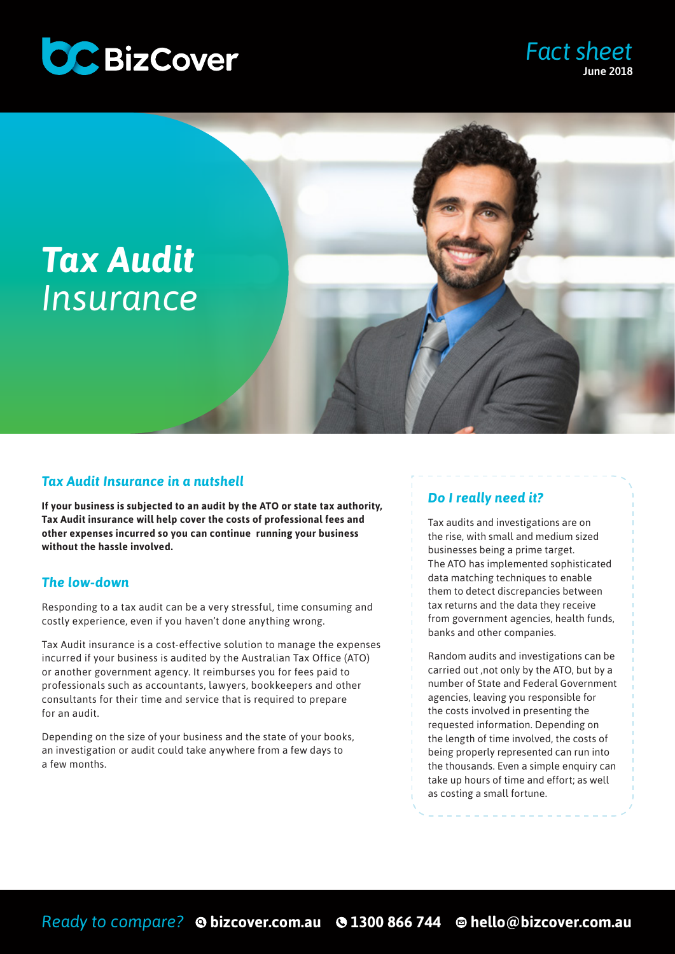

# *Tax Audit Insurance*

## *Tax Audit Insurance in a nutshell*

**If your business is subjected to an audit by the ATO or state tax authority, Tax Audit insurance will help cover the costs of professional fees and other expenses incurred so you can continue running your business without the hassle involved.** 

### *The low-down*

Responding to a tax audit can be a very stressful, time consuming and costly experience, even if you haven't done anything wrong.

Tax Audit insurance is a cost-effective solution to manage the expenses incurred if your business is audited by the Australian Tax Office (ATO) or another government agency. It reimburses you for fees paid to professionals such as accountants, lawyers, bookkeepers and other consultants for their time and service that is required to prepare for an audit.

Depending on the size of your business and the state of your books, an investigation or audit could take anywhere from a few days to a few months.

## *Do I really need it?*

Tax audits and investigations are on the rise, with small and medium sized businesses being a prime target. The ATO has implemented sophisticated data matching techniques to enable them to detect discrepancies between tax returns and the data they receive from government agencies, health funds, banks and other companies.

*Fact sheet*

June 2018

Random audits and investigations can be carried out ,not only by the ATO, but by a number of State and Federal Government agencies, leaving you responsible for the costs involved in presenting the requested information. Depending on the length of time involved, the costs of being properly represented can run into the thousands. Even a simple enquiry can take up hours of time and effort; as well as costing a small fortune.